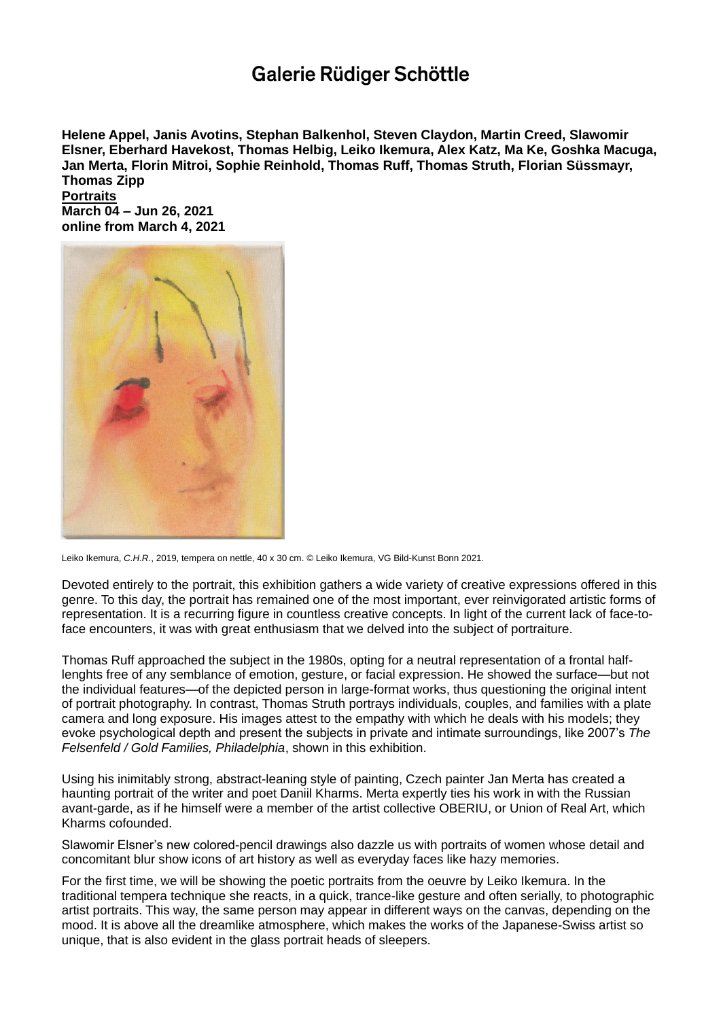## Galerie Rüdiger Schöttle

**Helene Appel, Janis Avotins, Stephan Balkenhol, Steven Claydon, Martin Creed, Slawomir Elsner, Eberhard Havekost, Thomas Helbig, Leik[o](https://www.galerie-schoettle.de/de/kuenstler/LeikoIkemura/) Ikemura, Alex Katz, Ma Ke, Goshka Macuga, Jan Merta, Florin Mitroi, Sophie Reinhold, Thomas Ruff, Thomas Struth, Florian Süssmayr, Thomas Zipp**

**Portraits March 04 – Jun 26, 2021 online from March 4, 2021**



Leiko Ikemura, *C.H.R.*, 2019, tempera on nettle, 40 x 30 cm. © Leiko Ikemura, VG Bild-Kunst Bonn 2021.

Devoted entirely to the portrait, this exhibition gathers a wide variety of creative expressions offered in this genre. To this day, the portrait has remained one of the most important, ever reinvigorated artistic forms of representation. It is a recurring figure in countless creative concepts. In light of the current lack of face-toface encounters, it was with great enthusiasm that we delved into the subject of portraiture.

Thomas Ruff approached the subject in the 1980s, opting for a neutral representation of a frontal halflenghts free of any semblance of emotion, gesture, or facial expression. He showed the surface—but not the individual features—of the depicted person in large-format works, thus questioning the original intent of portrait photography. In contrast, Thomas Struth portrays individuals, couples, and families with a plate camera and long exposure. His images attest to the empathy with which he deals with his models; they evoke psychological depth and present the subjects in private and intimate surroundings, like 2007's *The Felsenfeld / Gold Families, Philadelphia*, shown in this exhibition.

Using his inimitably strong, abstract-leaning style of painting, Czech painter Jan Merta has created a haunting portrait of the writer and poet Daniil Kharms. Merta expertly ties his work in with the Russian avant-garde, as if he himself were a member of the artist collective OBERIU, or Union of Real Art, which Kharms cofounded.

Slawomir Elsner's new colored-pencil drawings also dazzle us with portraits of women whose detail and concomitant blur show icons of art history as well as everyday faces like hazy memories.

For the first time, we will be showing the poetic portraits from the oeuvre by Leiko Ikemura. In the traditional tempera technique she reacts, in a quick, trance-like gesture and often serially, to photographic artist portraits. This way, the same person may appear in different ways on the canvas, depending on the mood. It is above all the dreamlike atmosphere, which makes the works of the Japanese-Swiss artist so unique, that is also evident in the glass portrait heads of sleepers.